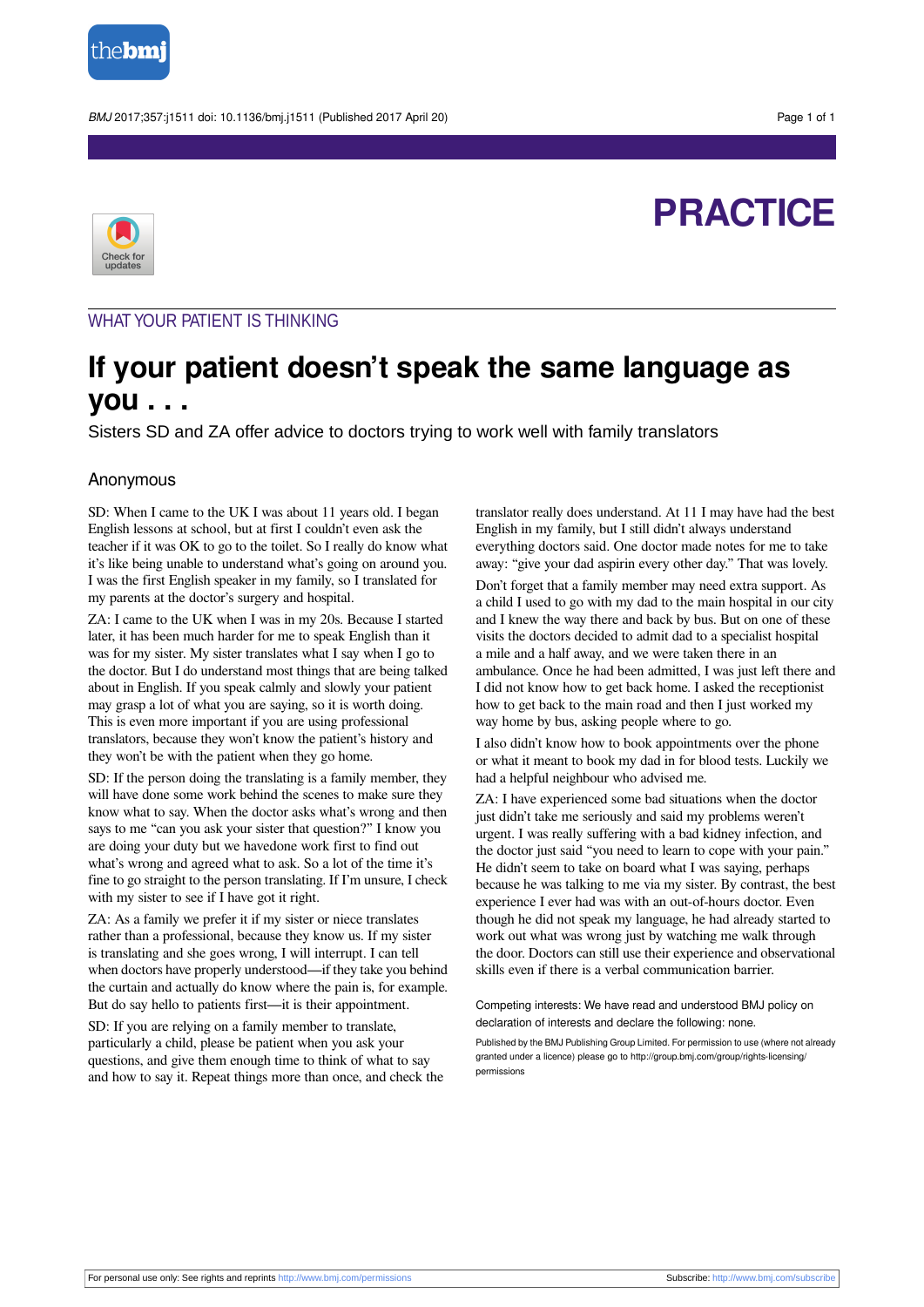

BMJ 2017;357:j1511 doi: 10.1136/bmj.j1511 (Published 2017 April 20) Page 1 of 1

# **PRACTICE**



### WHAT YOUR PATIENT IS THINKING

## **If your patient doesn't speak the same language as you . . .**

Sisters SD and ZA offer advice to doctors trying to work well with family translators

#### Anonymous

SD: When I came to the UK I was about 11 years old. I began English lessons at school, but at first I couldn't even ask the teacher if it was OK to go to the toilet. So I really do know what it's like being unable to understand what's going on around you. I was the first English speaker in my family, so I translated for my parents at the doctor's surgery and hospital.

ZA: I came to the UK when I was in my 20s. Because I started later, it has been much harder for me to speak English than it was for my sister. My sister translates what I say when I go to the doctor. But I do understand most things that are being talked about in English. If you speak calmly and slowly your patient may grasp a lot of what you are saying, so it is worth doing. This is even more important if you are using professional translators, because they won't know the patient's history and they won't be with the patient when they go home.

SD: If the person doing the translating is a family member, they will have done some work behind the scenes to make sure they know what to say. When the doctor asks what's wrong and then says to me "can you ask your sister that question?" I know you are doing your duty but we havedone work first to find out what's wrong and agreed what to ask. So a lot of the time it's fine to go straight to the person translating. If I'm unsure, I check with my sister to see if I have got it right.

ZA: As a family we prefer it if my sister or niece translates rather than a professional, because they know us. If my sister is translating and she goes wrong, I will interrupt. I can tell when doctors have properly understood—if they take you behind the curtain and actually do know where the pain is, for example. But do say hello to patients first—it is their appointment.

SD: If you are relying on a family member to translate, particularly a child, please be patient when you ask your questions, and give them enough time to think of what to say and how to say it. Repeat things more than once, and check the

translator really does understand. At 11 I may have had the best English in my family, but I still didn't always understand everything doctors said. One doctor made notes for me to take away: "give your dad aspirin every other day." That was lovely.

Don't forget that a family member may need extra support. As a child I used to go with my dad to the main hospital in our city and I knew the way there and back by bus. But on one of these visits the doctors decided to admit dad to a specialist hospital a mile and a half away, and we were taken there in an ambulance. Once he had been admitted, I was just left there and I did not know how to get back home. I asked the receptionist how to get back to the main road and then I just worked my way home by bus, asking people where to go.

I also didn't know how to book appointments over the phone or what it meant to book my dad in for blood tests. Luckily we had a helpful neighbour who advised me.

ZA: I have experienced some bad situations when the doctor just didn't take me seriously and said my problems weren't urgent. I was really suffering with a bad kidney infection, and the doctor just said "you need to learn to cope with your pain." He didn't seem to take on board what I was saying, perhaps because he was talking to me via my sister. By contrast, the best experience I ever had was with an out-of-hours doctor. Even though he did not speak my language, he had already started to work out what was wrong just by watching me walk through the door. Doctors can still use their experience and observational skills even if there is a verbal communication barrier.

Competing interests: We have read and understood BMJ policy on declaration of interests and declare the following: none.

Published by the BMJ Publishing Group Limited. For permission to use (where not already granted under a licence) please go to [http://group.bmj.com/group/rights-licensing/](http://group.bmj.com/group/rights-licensing/permissions) [permissions](http://group.bmj.com/group/rights-licensing/permissions)